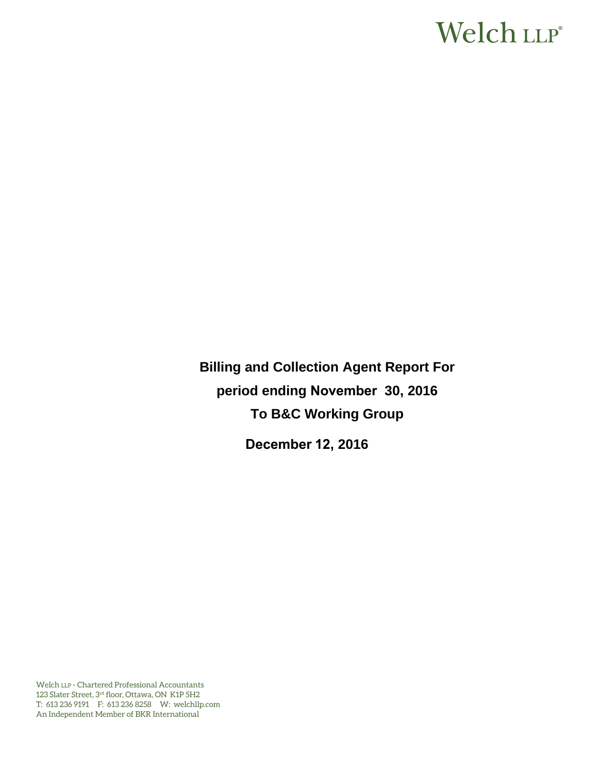# Welch LLP®

**Billing and Collection Agent Report For period ending November 30, 2016 To B&C Working Group** 

**December 12, 2016** 

Welch LLP - Chartered Professional Accountants 123 Slater Street, 3rd floor, Ottawa, ON K1P 5H2 T: 613 236 9191 F: 613 236 8258 W: welchllp.com An Independent Member of BKR International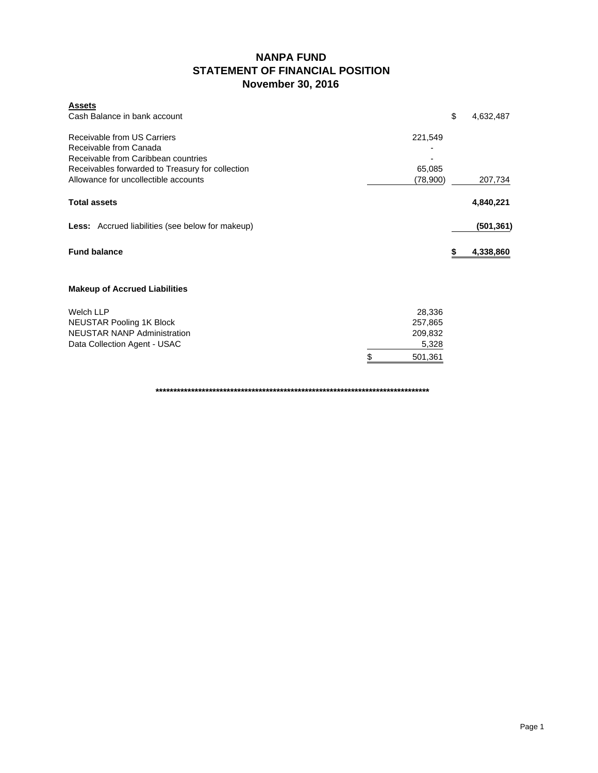### **NANPA FUND STATEMENT OF FINANCIAL POSITION November 30, 2016**

| <b>Assets</b><br>Cash Balance in bank account                                                                                                                                            |                                                        | \$<br>4,632,487 |
|------------------------------------------------------------------------------------------------------------------------------------------------------------------------------------------|--------------------------------------------------------|-----------------|
| Receivable from US Carriers<br>Receivable from Canada<br>Receivable from Caribbean countries<br>Receivables forwarded to Treasury for collection<br>Allowance for uncollectible accounts | 221,549<br>65,085<br>(78,900)                          | 207,734         |
| <b>Total assets</b>                                                                                                                                                                      |                                                        | 4,840,221       |
| <b>Less:</b> Accrued liabilities (see below for makeup)                                                                                                                                  |                                                        | (501, 361)      |
| <b>Fund balance</b>                                                                                                                                                                      |                                                        | 4,338,860<br>\$ |
| <b>Makeup of Accrued Liabilities</b>                                                                                                                                                     |                                                        |                 |
| <b>Welch LLP</b><br><b>NEUSTAR Pooling 1K Block</b><br><b>NEUSTAR NANP Administration</b><br>Data Collection Agent - USAC                                                                | 28,336<br>257,865<br>209,832<br>5,328<br>\$<br>501,361 |                 |

**\*\*\*\*\*\*\*\*\*\*\*\*\*\*\*\*\*\*\*\*\*\*\*\*\*\*\*\*\*\*\*\*\*\*\*\*\*\*\*\*\*\*\*\*\*\*\*\*\*\*\*\*\*\*\*\*\*\*\*\*\*\*\*\*\*\*\*\*\*\*\*\*\*\*\*\*\***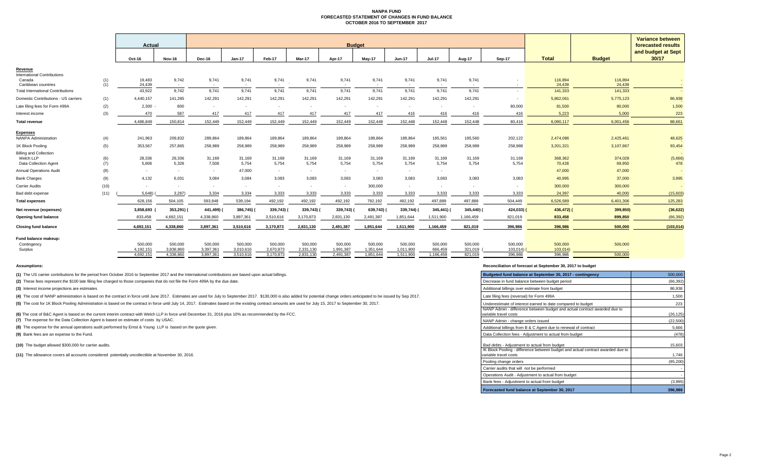#### **NANPA FUND FORECASTED STATEMENT OF CHANGES IN FUND BALANCE OCTOBER 2016 TO SEPTEMBER 2017**

|                                                |            |                  |                          |                 |                 |                               |               |                 |                 |                          |                 |                 |               |                   | Variance between  |                             |
|------------------------------------------------|------------|------------------|--------------------------|-----------------|-----------------|-------------------------------|---------------|-----------------|-----------------|--------------------------|-----------------|-----------------|---------------|-------------------|-------------------|-----------------------------|
|                                                |            | Actual           |                          | <b>Budget</b>   |                 |                               |               |                 |                 |                          |                 |                 |               |                   |                   | forecasted results          |
|                                                |            | Oct-16           | <b>Nov-16</b>            | Dec-16          | $Jan-17$        | Feb-17                        | <b>Mar-17</b> | Apr-17          | May-17          | Jun-17                   | <b>Jul-17</b>   | Aug-17          | <b>Sep-17</b> | <b>Total</b>      | <b>Budget</b>     | and budget at Sept<br>30/17 |
| Revenue                                        |            |                  |                          |                 |                 |                               |               |                 |                 |                          |                 |                 |               |                   |                   |                             |
| <b>International Contributions</b>             |            |                  |                          |                 |                 |                               |               |                 |                 |                          |                 |                 |               |                   |                   |                             |
| Canada<br>Caribbean countries                  | (1)<br>(1) | 19,483<br>24.439 | 9,742<br>$\sim$          | 9,741<br>$\sim$ | 9,741<br>$\sim$ | 9,741<br>$\sim$<br>$\sim$ $-$ | 9,741         | 9,741<br>$\sim$ | 9,741<br>$\sim$ | 9,741<br>$\sim$          | 9,741<br>$\sim$ | 9,741<br>$\sim$ |               | 116,894<br>24.439 | 116,894<br>24.439 |                             |
| <b>Total International Contributions</b>       |            | 43,922           | 9.742                    | 9.741           | 9.741           | 9.741                         | 9.741         | 9,741           | 9,741           | 9.741                    | 9.741           | 9.741           |               | 141,333           | 141,333           |                             |
| Domestic Contributions - US carriers           | (1)        | 4,440,157        | 141,285                  | 142,291         | 142,291         | 142,291                       | 142,291       | 142,291         | 142,291         | 142,291                  | 142,291         | 142,291         | $\sim$        | 5,862,061         | 5,775,123         | 86,938                      |
| Late filing fees for Form 499A                 | (2)        | $2,300 -$        | 800                      | $\sim$          | $\sim$          | $\sim$                        | $\sim$        | <b>.</b>        | $\sim$          | $\sim$                   | $\sim$          | $\sim$          | 80,000        | 81,500            | 80,000            | 1,500                       |
| Interest income                                | (3)        | 470              | 587                      | 417             | 417             | 417                           | 417           | 417             | 417             | 416                      | 416             | 416             | 416           | 5,223             | 5.000             | 223                         |
| <b>Total revenue</b>                           |            | 4.486.849        | 150.814                  | 152.449         | 152.449         | 152.449                       | 152.449       | 152,449         | 152,449         | 152,448                  | 152,448         | 152.448         | 80.416        | 6.090.117         | 6,001,456         | 88,661                      |
|                                                |            |                  |                          |                 |                 |                               |               |                 |                 |                          |                 |                 |               |                   |                   |                             |
| <b>Expenses</b><br><b>NANPA Administration</b> | (4)        | 241,963          | 209,832                  | 289,864         | 189,864         | 189,864                       | 189,864       | 189,864         | 189,864         | 189,864                  | 195,561         | 195,560         | 202,122       | 2,474,086         | 2,425,461         | 48,625                      |
| 1K Block Pooling                               | (5)        | 353,567          | 257,865                  | 258,989         | 258,989         | 258,989                       | 258,989       | 258,989         | 258,989         | 258,989                  | 258,989         | 258,989         | 258,988       | 3,201,321         | 3,107,867         | 93,454                      |
| <b>Billing and Collection</b>                  |            |                  |                          |                 |                 |                               |               |                 |                 |                          |                 |                 |               |                   |                   |                             |
| Welch LLP                                      | (6)        | 28,336           | 28,336                   | 31,169          | 31,169          | 31,169                        | 31,169        | 31,169          | 31,169          | 31,169                   | 31,169          | 31.169          | 31,169        | 368,362           | 374,028           | (5,666)                     |
| Data Collection Agent                          | (7)        | 5,806            | 5,328                    | 7,508           | 5,754           | 5,754                         | 5,754         | 5,754           | 5,754           | 5,754                    | 5,754           | 5,754           | 5,754         | 70,428            | 69,950            | 478                         |
| <b>Annual Operations Audit</b>                 | (8)        | $\sim$           | $\sim$                   | $\sim$          | 47,000          | $\sim$                        | $\sim$        | $\sim$          | $\sim$          | $\sim$                   | $\sim$          |                 |               | 47,000            | 47,000            |                             |
| <b>Bank Charges</b>                            | (9)        | 4,132            | 6,031                    | 3,084           | 3,084           | 3,083                         | 3,083         | 3,083           | 3,083           | 3,083                    | 3,083           | 3,083           | 3,083         | 40,995            | 37,000            | 3,995                       |
| <b>Carrier Audits</b>                          | (10)       | $\sim$           | $\overline{\phantom{a}}$ | $\sim$          | $\mathbf{r}$    | ۰.                            | $\mathbf{r}$  |                 | 300,000         | $\overline{\phantom{a}}$ | $\sim$          | $\sim$          |               | 300,000           | 300,000           |                             |
| Bad debt expense                               | (11)       | 5,648            | 3,287                    | 3,334           | 3,334           | 3,333                         | 3,333         | 3,333           | 3,333           | 3,333                    | 3,333           | 3,333           | 3,333         | 24,397            | 40,000            | (15,603)                    |
| <b>Total expenses</b>                          |            | 628.156          | 504,105                  | 593.948         | 539,194         | 492,192                       | 492,192       | 492,192         | 792,192         | 492,192                  | 497,889         | 497,888         | 504.449       | 6.526.589         | 6,401,306         | 125,283                     |
| Net revenue (expenses)                         |            | 3,858,693        | 353,291)                 | 441,499)        | 386,745)        | 339,743)                      | 339,743)      | 339,743)        | 639,743)        | 339,744)                 | 345,441)        | 345,440) (      | 424,033) (    | 436,472) (        | 399,850)          | (36, 622)                   |
| Opening fund balance                           |            | 833,458          | 4,692,151                | 4,338,860       | 3,897,361       | 3,510,616                     | 3,170,873     | 2,831,130       | 2,491,387       | 1,851,644                | 1,511,900       | 1,166,459       | 821,019       | 833,458           | 899,850           | (66, 392)                   |
| <b>Closing fund balance</b>                    |            | 4,692,151        | 4,338,860                | 3,897,361       | 3,510,616       | 3,170,873                     | 2,831,130     | 2,491,387       | 1,851,644       | 1,511,900                | 1,166,459       | 821,019         | 396,986       | 396,986           | 500,000           | (103, 014)                  |
| Fund balance makeup:                           |            |                  |                          |                 |                 |                               |               |                 |                 |                          |                 |                 |               |                   |                   |                             |
| Contingency                                    |            | 500,000          | 500,000                  | 500.000         | 500,000         | 500,000                       | 500,000       | 500,000         | 500,000         | 500,000                  | 500,000         | 500,000         | 500,000       | 500,000           | 500,000           |                             |
| Surplus                                        |            | 4.192.151        | 3,838,860                | 3,397,361       | 3,010,616       | 2,670,873                     | 2,331,130     | 1.991.387       | 1.351.644       | 1,011,900                | 666,459         | 321.019         | 103,014       | 103,014)          |                   |                             |
|                                                |            | 4.692.151        | 4.338.860                | 3.897.361       | 3.510.616       | 3.170.873                     | 2.831.130     | 2.491.387       | 1.851.644       | 1.511.900                | 1.166.459       | 821.019         | 396.986       | 396,986           | 500,000           |                             |

**(1)** The US carrier contributions for the period from October 2016 to September 2017 and the International contributions are based upon actual billings.

(2) These fees represent the \$100 late filing fee charged to those companies that do not file the Form 499A by the due date.

**(3)** Interest income projections are estimates

(4) The cost of NANP administration is based on the contract in force until June 2017. Estimates are used for July to September 2017. \$130,000 is also added for potential change orders anticipated to be issued by Sep 2017.

(5) The cost for 1K Block Pooling Administration is based on the contract in force until July 14, 2017. Estimates based on the existing contract amounts are used for July 15, 2017 to September 30, 2017.

(6) The cost of B&C Agent is based on the current interim contract with Welch LLP in force until December 31, 2016 plus 10% as recommended by the FCC.

**(7)** The expense for the Data Collection Agent is based on estimate of costs by USAC.

**(8)** The expense for the annual operations audit performed by Ernst & Young LLP is based on the quote given.

**(9)** Bank fees are an expense to the Fund.

**(10)** The budget allowed \$300,000 for carrier audits.

**(11)** The allowance covers all accounts considered potentially uncollectible at November 30, 2016.

#### **Assumptions: Reconciliation of forecast at September 30, 2017 to budget**

| Budgeted fund balance at September 30, 2017 - contingency                                                                                                | 500,000         |
|----------------------------------------------------------------------------------------------------------------------------------------------------------|-----------------|
| Decrease in fund balance between budget period                                                                                                           | (66, 392)       |
| Additional billings over estimate from budget                                                                                                            | 86,938          |
| Late filing fees (reversal) for Form 499A                                                                                                                | 1,500           |
| Underestimate of interest earned to date compared to budget                                                                                              | 223             |
| NANP Admin - difference between budget and actual contract awarded due to<br>variable travel costs                                                       | (26, 125)       |
| NANP Admin - change orders issued                                                                                                                        | (22, 500)       |
| Additional billings from B & C Agent due to renewal of contract                                                                                          | 5,666           |
| Data Collection fees - Adjustment to actual from budget                                                                                                  | (478)           |
| Bad debts - Adjustment to actual from budget<br>IK Block Pooling - difference between budget and actual contract awarded due to<br>variable travel costs | 15,603<br>1,746 |
| Pooling change orders                                                                                                                                    | (95, 200)       |
| Carrier audits that will not be performed                                                                                                                |                 |
| Operations Audit - Adjustment to actual from budget                                                                                                      |                 |
| Bank fees - Adjustment to actual from budget                                                                                                             | (3,995)         |
| Forecasted fund balance at September 30, 2017                                                                                                            | 396,986         |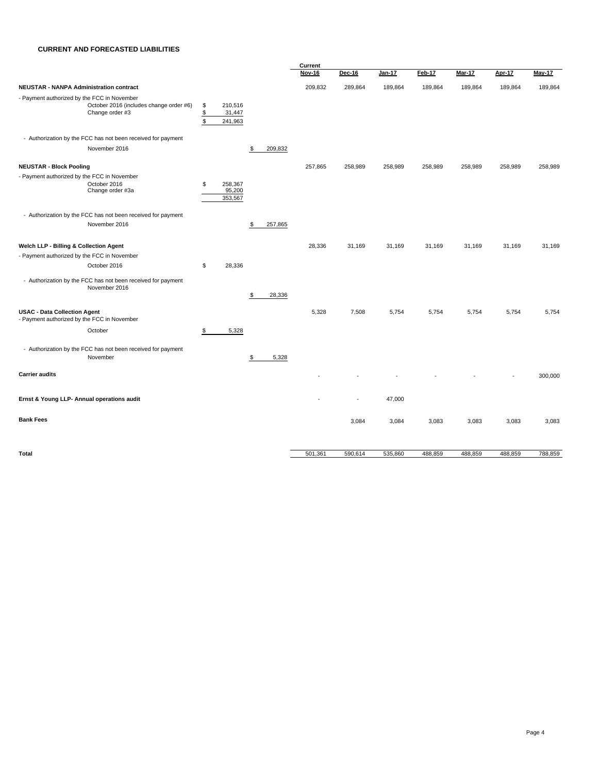#### **CURRENT AND FORECASTED LIABILITIES**

|                                                                                                           |                                      |                              |               | Current       |               |               |         |               |         |         |  |
|-----------------------------------------------------------------------------------------------------------|--------------------------------------|------------------------------|---------------|---------------|---------------|---------------|---------|---------------|---------|---------|--|
|                                                                                                           |                                      |                              |               | <b>Nov-16</b> | <b>Dec-16</b> | <b>Jan-17</b> | Feb-17  | <b>Mar-17</b> | Apr-17  | May-17  |  |
| <b>NEUSTAR - NANPA Administration contract</b>                                                            |                                      |                              |               | 209,832       | 289,864       | 189,864       | 189,864 | 189,864       | 189,864 | 189,864 |  |
| - Payment authorized by the FCC in November<br>October 2016 (includes change order #6)<br>Change order #3 | \$<br>$$\mathbb{S}$$<br>$\mathbb{S}$ | 210,516<br>31,447<br>241,963 |               |               |               |               |         |               |         |         |  |
| - Authorization by the FCC has not been received for payment                                              |                                      |                              |               |               |               |               |         |               |         |         |  |
| November 2016                                                                                             |                                      |                              | \$<br>209,832 |               |               |               |         |               |         |         |  |
| <b>NEUSTAR - Block Pooling</b>                                                                            |                                      |                              |               | 257,865       | 258,989       | 258,989       | 258,989 | 258,989       | 258,989 | 258,989 |  |
| - Payment authorized by the FCC in November<br>October 2016<br>Change order #3a                           | \$                                   | 258,367<br>95,200<br>353,567 |               |               |               |               |         |               |         |         |  |
| - Authorization by the FCC has not been received for payment                                              |                                      |                              |               |               |               |               |         |               |         |         |  |
| November 2016                                                                                             |                                      |                              | \$<br>257,865 |               |               |               |         |               |         |         |  |
| Welch LLP - Billing & Collection Agent                                                                    |                                      |                              |               | 28,336        | 31,169        | 31,169        | 31,169  | 31,169        | 31,169  | 31,169  |  |
| - Payment authorized by the FCC in November                                                               |                                      |                              |               |               |               |               |         |               |         |         |  |
| October 2016                                                                                              | \$                                   | 28,336                       |               |               |               |               |         |               |         |         |  |
| - Authorization by the FCC has not been received for payment<br>November 2016                             |                                      |                              | \$<br>28,336  |               |               |               |         |               |         |         |  |
| <b>USAC - Data Collection Agent</b><br>- Payment authorized by the FCC in November                        |                                      |                              |               | 5,328         | 7,508         | 5,754         | 5,754   | 5,754         | 5,754   | 5,754   |  |
| October                                                                                                   | \$                                   | 5,328                        |               |               |               |               |         |               |         |         |  |
| - Authorization by the FCC has not been received for payment<br>November                                  |                                      |                              | \$<br>5,328   |               |               |               |         |               |         |         |  |
| <b>Carrier audits</b>                                                                                     |                                      |                              |               |               |               |               |         |               |         | 300,000 |  |
| Ernst & Young LLP- Annual operations audit                                                                |                                      |                              |               |               |               | 47,000        |         |               |         |         |  |
| <b>Bank Fees</b>                                                                                          |                                      |                              |               |               | 3,084         | 3,084         | 3,083   | 3,083         | 3,083   | 3,083   |  |
| <b>Total</b>                                                                                              |                                      |                              |               | 501,361       | 590,614       | 535,860       | 488,859 | 488,859       | 488,859 | 788,859 |  |